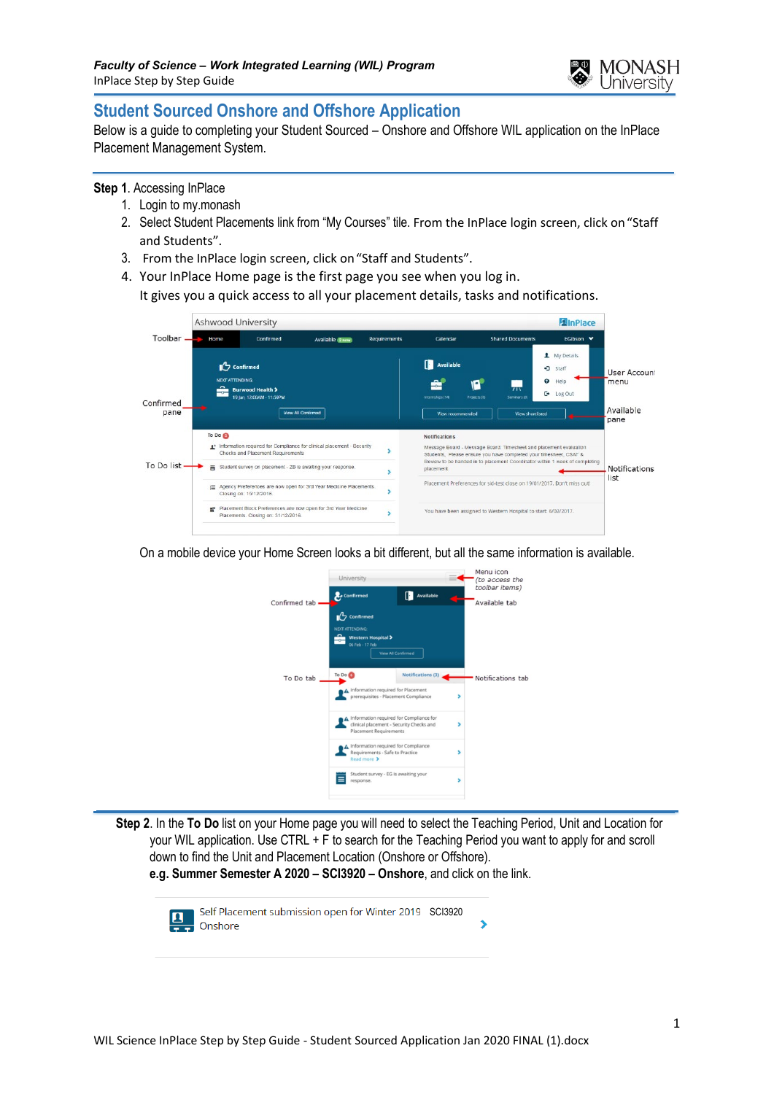

# **Student Sourced Onshore and Offshore Application**

Below is a guide to completing your Student Sourced – Onshore and Offshore WIL application on the InPlace Placement Management System.

### **Step 1**. Accessing InPlace

- 1. Login to my.monash
- 2. Select Student Placements link from "My Courses" tile. From the InPlace login screen, click on"Staff and Students".
- 3. From the InPlace login screen, click on"Staff and Students".
- 4. Your InPlace Home page is the first page you see when you log in. It gives you a quick access to all your placement details, tasks and notifications.



On a mobile device your Home Screen looks a bit different, but all the same information is available.



 **Step 2**. In the **To Do** list on your Home page you will need to select the Teaching Period, Unit and Location for your WIL application. Use CTRL + F to search for the Teaching Period you want to apply for and scroll down to find the Unit and Placement Location (Onshore or Offshore).

**e.g. Summer Semester A 2020 – SCI3920 – Onshore**, and click on the link.

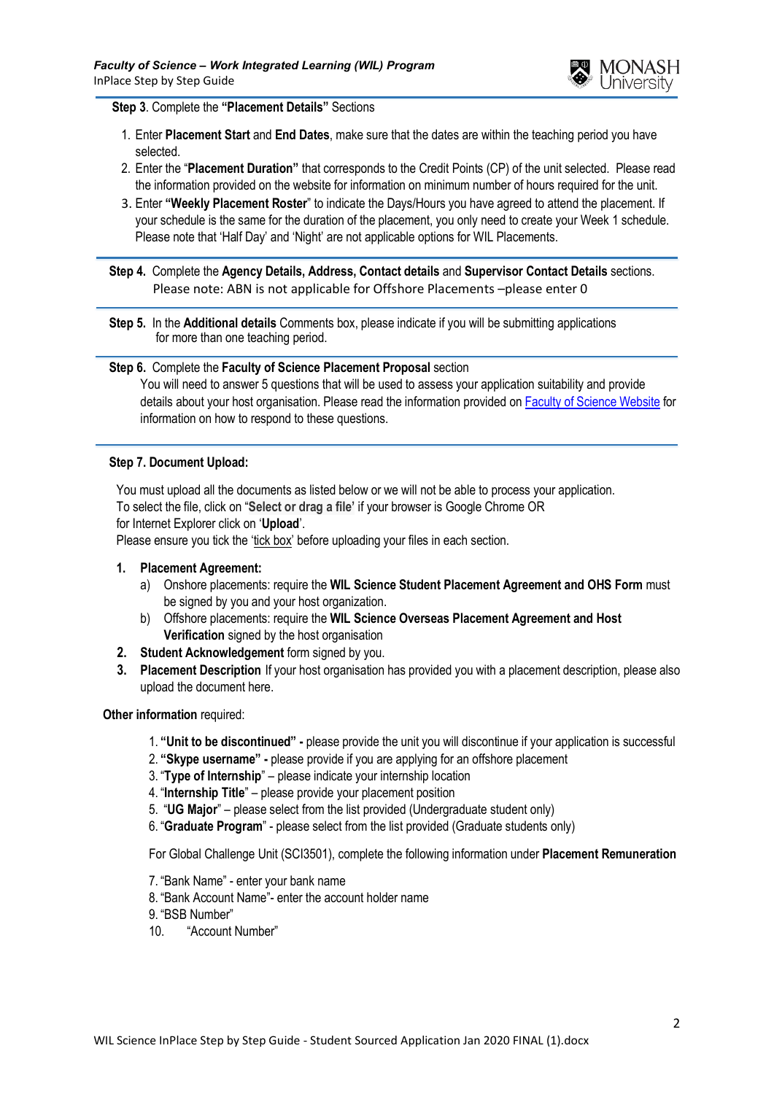

#### **Step 3**. Complete the **"Placement Details"** Sections

- 1. Enter **Placement Start** and **End Dates**, make sure that the dates are within the teaching period you have selected.
- 2. Enter the "**Placement Duration"** that corresponds to the Credit Points (CP) of the unit selected. Please read the information provided on the website for information on minimum number of hours required for the unit.
- 3. Enter **"Weekly Placement Roster**" to indicate the Days/Hours you have agreed to attend the placement. If your schedule is the same for the duration of the placement, you only need to create your Week 1 schedule. Please note that 'Half Day' and 'Night' are not applicable options for WIL Placements.

 **Step 4.** Complete the **Agency Details, Address, Contact details** and **Supervisor Contact Details** sections. Please note: ABN is not applicable for Offshore Placements –please enter 0

 **Step 5.** In the **Additional details** Comments box, please indicate if you will be submitting applications for more than one teaching period.

#### **Step 6.** Complete the **Faculty of Science Placement Proposal** section

You will need to answer 5 questions that will be used to assess your application suitability and provide details about your host organisation. Please read the information provided on [Faculty of Science Website](https://www.monash.edu/science/current-students/career-prospects) for information on how to respond to these questions.

#### **Step 7. Document Upload:**

You must upload all the documents as listed below or we will not be able to process your application. To select the file, click on "**Select or drag a file'** if your browser is Google Chrome OR for Internet Explorer click on '**Upload**'.

Please ensure you tick the 'tick box' before uploading your files in each section.

#### **1. Placement Agreement:**

- a) Onshore placements: require the **WIL Science Student Placement Agreement and OHS Form** must be signed by you and your host organization.
- b) Offshore placements: require the **WIL Science Overseas Placement Agreement and Host Verification** signed by the host organisation
- **2. Student Acknowledgement** form signed by you.
- **3. Placement Description** If your host organisation has provided you with a placement description, please also upload the document here.

#### **Other information** required:

- 1. **"Unit to be discontinued" -** please provide the unit you will discontinue if your application is successful
- 2. **"Skype username" -** please provide if you are applying for an offshore placement
- 3. "**Type of Internship**" please indicate your internship location
- 4. "**Internship Title**" please provide your placement position
- 5. "**UG Major**" please select from the list provided (Undergraduate student only)
- 6. "**Graduate Program**" please select from the list provided (Graduate students only)

For Global Challenge Unit (SCI3501), complete the following information under **Placement Remuneration**

- 7. "Bank Name" enter your bank name
- 8. "Bank Account Name"- enter the account holder name
- 9. "BSB Number"
- 10. "Account Number"